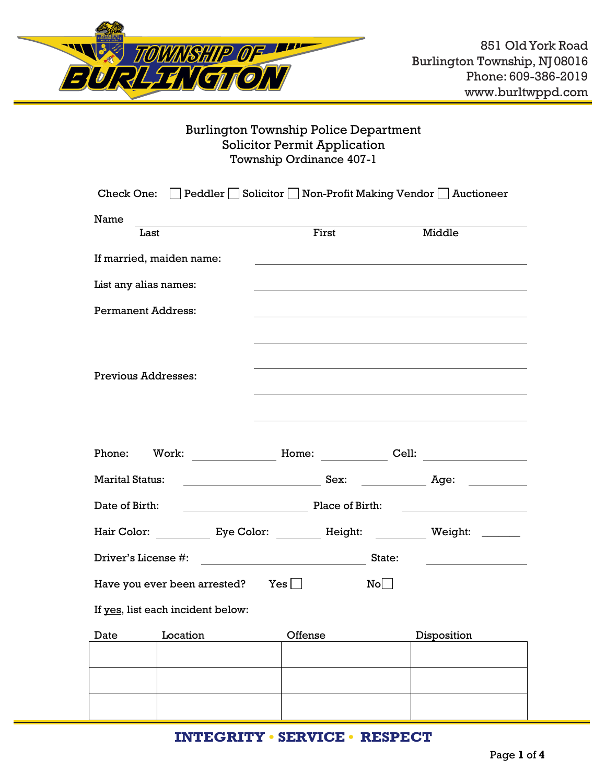

# Burlington Township Police Department Solicitor Permit Application Township Ordinance 407-1

| Check One:                                                               |                                                                                                                                                                                                                                | Peddler Solicitor Solicitor Mon-Profit Making Vendor Auctioneer |  |  |  |
|--------------------------------------------------------------------------|--------------------------------------------------------------------------------------------------------------------------------------------------------------------------------------------------------------------------------|-----------------------------------------------------------------|--|--|--|
| Name                                                                     |                                                                                                                                                                                                                                |                                                                 |  |  |  |
| Last                                                                     | First                                                                                                                                                                                                                          | Middle                                                          |  |  |  |
| If married, maiden name:                                                 |                                                                                                                                                                                                                                |                                                                 |  |  |  |
| List any alias names:                                                    |                                                                                                                                                                                                                                |                                                                 |  |  |  |
| <b>Permanent Address:</b>                                                |                                                                                                                                                                                                                                |                                                                 |  |  |  |
|                                                                          |                                                                                                                                                                                                                                |                                                                 |  |  |  |
|                                                                          |                                                                                                                                                                                                                                |                                                                 |  |  |  |
| <b>Previous Addresses:</b>                                               |                                                                                                                                                                                                                                |                                                                 |  |  |  |
|                                                                          |                                                                                                                                                                                                                                |                                                                 |  |  |  |
|                                                                          |                                                                                                                                                                                                                                |                                                                 |  |  |  |
| Phone:<br>Work:                                                          | Home: North States and States and States and States and States and States and States and States and States and States and States and States and States and States and States and States and States and States and States and S | Cell:                                                           |  |  |  |
| <b>Marital Status:</b>                                                   |                                                                                                                                                                                                                                | Age:                                                            |  |  |  |
| Place of Birth:<br>Date of Birth:                                        |                                                                                                                                                                                                                                |                                                                 |  |  |  |
| <b>Hair Color:</b>                                                       |                                                                                                                                                                                                                                |                                                                 |  |  |  |
| Driver's License #:<br>State:<br><u> 1990 - Johann Barbara, martxa a</u> |                                                                                                                                                                                                                                |                                                                 |  |  |  |
| Have you ever been arrested?                                             | $Yes \mid \mid$                                                                                                                                                                                                                | $\mathbb{N} \circ \bigsqcup$                                    |  |  |  |
| If yes, list each incident below:                                        |                                                                                                                                                                                                                                |                                                                 |  |  |  |
| Date<br>Location                                                         | Offense                                                                                                                                                                                                                        | Disposition                                                     |  |  |  |
|                                                                          |                                                                                                                                                                                                                                |                                                                 |  |  |  |
|                                                                          |                                                                                                                                                                                                                                |                                                                 |  |  |  |
|                                                                          |                                                                                                                                                                                                                                |                                                                 |  |  |  |

# **INTEGRITY • SERVICE • RESPECT**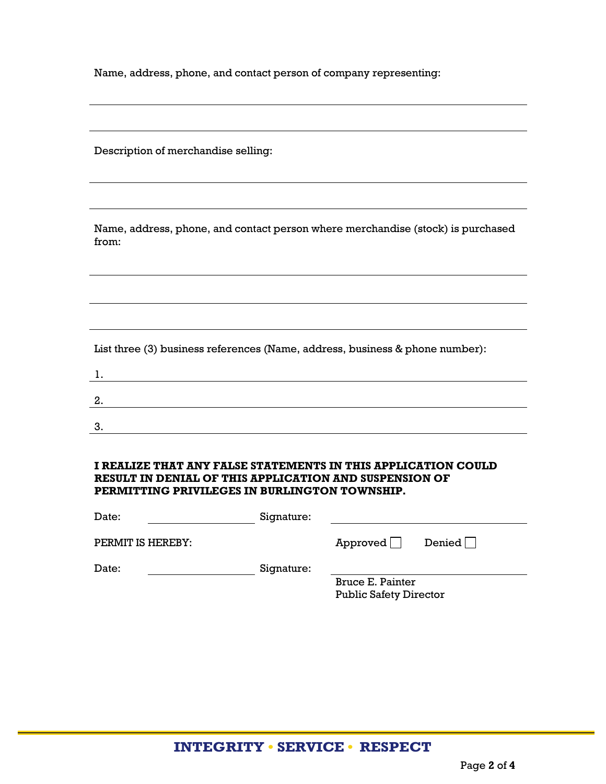Name, address, phone, and contact person of company representing:

Description of merchandise selling:

Name, address, phone, and contact person where merchandise (stock) is purchased from:

List three (3) business references (Name, address, business & phone number):

## **I REALIZE THAT ANY FALSE STATEMENTS IN THIS APPLICATION COULD RESULT IN DENIAL OF THIS APPLICATION AND SUSPENSION OF PERMITTING PRIVILEGES IN BURLINGTON TOWNSHIP.**

| Date:             | Signature: |                                                   |               |
|-------------------|------------|---------------------------------------------------|---------------|
| PERMIT IS HEREBY: |            | Approved                                          | Denied $\Box$ |
| Date:             | Signature: |                                                   |               |
|                   |            | Bruce E. Painter<br><b>Public Safety Director</b> |               |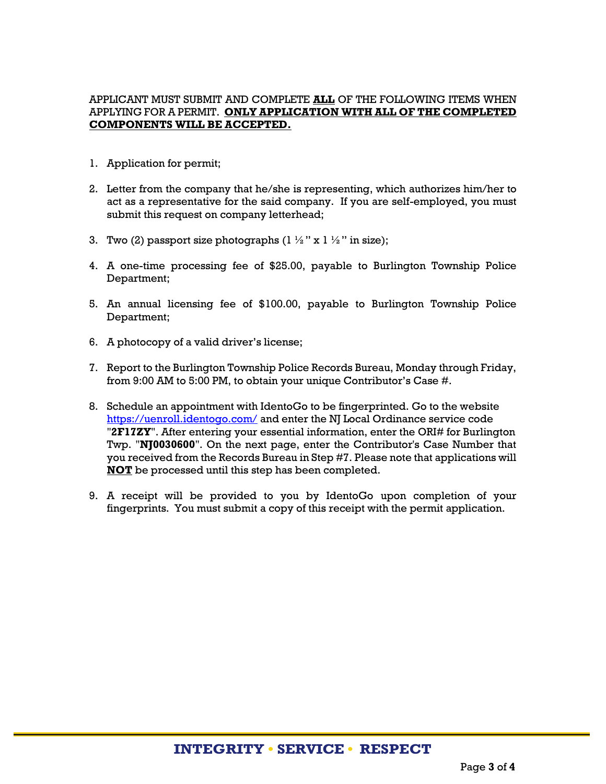# APPLICANT MUST SUBMIT AND COMPLETE **ALL** OF THE FOLLOWING ITEMS WHEN APPLYING FOR A PERMIT. **ONLY APPLICATION WITH ALL OF THE COMPLETED COMPONENTS WILL BE ACCEPTED.**

- 1. Application for permit;
- 2. Letter from the company that he/she is representing, which authorizes him/her to act as a representative for the said company. If you are self-employed, you must submit this request on company letterhead;
- 3. Two (2) passport size photographs ( $1 \frac{1}{2}$ " x  $1 \frac{1}{2}$ " in size);
- 4. A one-time processing fee of \$25.00, payable to Burlington Township Police Department;
- 5. An annual licensing fee of \$100.00, payable to Burlington Township Police Department;
- 6. A photocopy of a valid driver's license;
- 7. Report to the Burlington Township Police Records Bureau, Monday through Friday, from 9:00 AM to 5:00 PM, to obtain your unique Contributor's Case #.
- 8. Schedule an appointment with IdentoGo to be fingerprinted. Go to the website <https://uenroll.identogo.com/> and enter the NJ Local Ordinance service code "**2F17ZY**". After entering your essential information, enter the ORI# for Burlington Twp. "**NJ0030600**". On the next page, enter the Contributor's Case Number that you received from the Records Bureau in Step #7. Please note that applications will **NOT** be processed until this step has been completed.
- 9. A receipt will be provided to you by IdentoGo upon completion of your fingerprints. You must submit a copy of this receipt with the permit application.